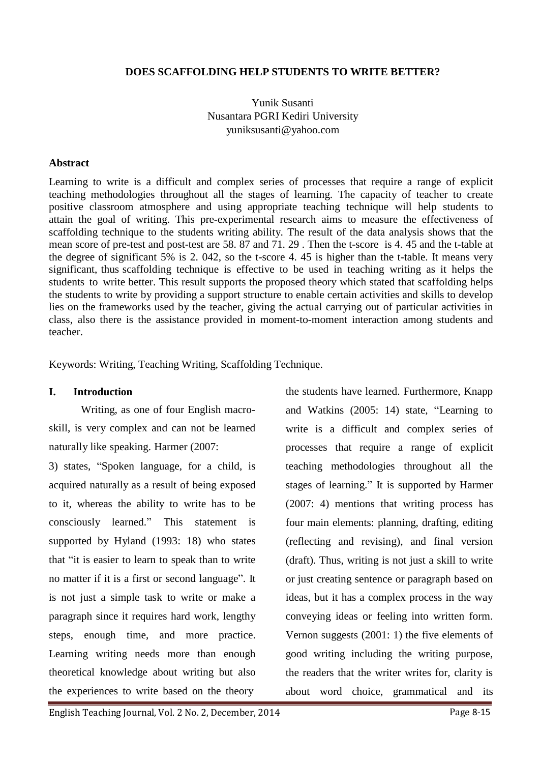## **DOES SCAFFOLDING HELP STUDENTS TO WRITE BETTER?**

Yunik Susanti Nusantara PGRI Kediri Universit[y](mailto:yuniksusanti@yahoo.com) [yuniksusanti@yahoo.com](mailto:yuniksusanti@yahoo.com)

#### **Abstract**

Learning to write is a difficult and complex series of processes that require a range of explicit teaching methodologies throughout all the stages of learning. The capacity of teacher to create positive classroom atmosphere and using appropriate teaching technique will help students to attain the goal of writing. This pre-experimental research aims to measure the effectiveness of scaffolding technique to the students writing ability. The result of the data analysis shows that the mean score of pre-test and post-test are 58. 87 and 71. 29 . Then the t-score is 4. 45 and the t-table at the degree of significant 5% is 2. 042, so the t-score 4. 45 is higher than the t-table. It means very significant, thus scaffolding technique is effective to be used in teaching writing as it helps the students to write better. This result supports the proposed theory which stated that scaffolding helps the students to write by providing a support structure to enable certain activities and skills to develop lies on the frameworks used by the teacher, giving the actual carrying out of particular activities in class, also there is the assistance provided in moment-to-moment interaction among students and teacher.

Keywords: Writing, Teaching Writing, Scaffolding Technique.

## **I. Introduction**

Writing, as one of four English macroskill, is very complex and can not be learned naturally like speaking. Harmer (2007:

3) states, "Spoken language, for a child, is acquired naturally as a result of being exposed to it, whereas the ability to write has to be consciously learned." This statement is supported by Hyland (1993: 18) who states that "it is easier to learn to speak than to write no matter if it is a first or second language". It is not just a simple task to write or make a paragraph since it requires hard work, lengthy steps, enough time, and more practice. Learning writing needs more than enough theoretical knowledge about writing but also the experiences to write based on the theory

the students have learned. Furthermore, Knapp and Watkins (2005: 14) state, "Learning to write is a difficult and complex series of processes that require a range of explicit teaching methodologies throughout all the stages of learning." It is supported by Harmer (2007: 4) mentions that writing process has four main elements: planning, drafting, editing (reflecting and revising), and final version (draft). Thus, writing is not just a skill to write or just creating sentence or paragraph based on ideas, but it has a complex process in the way conveying ideas or feeling into written form. Vernon suggests (2001: 1) the five elements of good writing including the writing purpose, the readers that the writer writes for, clarity is about word choice, grammatical and its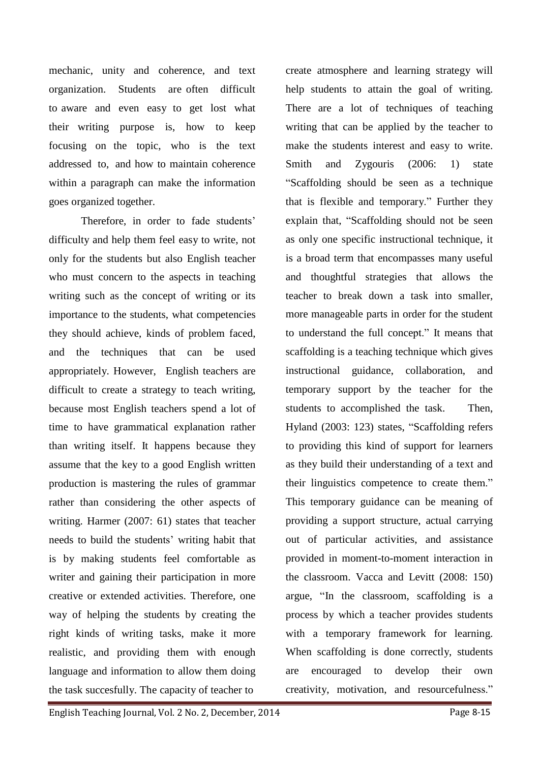mechanic, unity and coherence, and text organization. Students are often difficult to aware and even easy to get lost what their writing purpose is, how to keep focusing on the topic, who is the text addressed to, and how to maintain coherence within a paragraph can make the information goes organized together.

Therefore, in order to fade students' difficulty and help them feel easy to write, not only for the students but also English teacher who must concern to the aspects in teaching writing such as the concept of writing or its importance to the students, what competencies they should achieve, kinds of problem faced, and the techniques that can be used appropriately. However, English teachers are difficult to create a strategy to teach writing, because most English teachers spend a lot of time to have grammatical explanation rather than writing itself. It happens because they assume that the key to a good English written production is mastering the rules of grammar rather than considering the other aspects of writing. Harmer (2007: 61) states that teacher needs to build the students' writing habit that is by making students feel comfortable as writer and gaining their participation in more creative or extended activities. Therefore, one way of helping the students by creating the right kinds of writing tasks, make it more realistic, and providing them with enough language and information to allow them doing the task succesfully. The capacity of teacher to

create atmosphere and learning strategy will help students to attain the goal of writing. There are a lot of techniques of teaching writing that can be applied by the teacher to make the students interest and easy to write. Smith and Zygouris (2006: 1) state "Scaffolding should be seen as a technique that is flexible and temporary." Further they explain that, "Scaffolding should not be seen as only one specific instructional technique, it is a broad term that encompasses many useful and thoughtful strategies that allows the teacher to break down a task into smaller, more manageable parts in order for the student to understand the full concept." It means that scaffolding is a teaching technique which gives instructional guidance, collaboration, and temporary support by the teacher for the students to accomplished the task. Then, Hyland (2003: 123) states, "Scaffolding refers to providing this kind of support for learners as they build their understanding of a text and their linguistics competence to create them." This temporary guidance can be meaning of providing a support structure, actual carrying out of particular activities, and assistance provided in moment-to-moment interaction in the classroom. Vacca and Levitt (2008: 150) argue, "In the classroom, scaffolding is a process by which a teacher provides students with a temporary framework for learning. When scaffolding is done correctly, students are encouraged to develop their own creativity, motivation, and resourcefulness."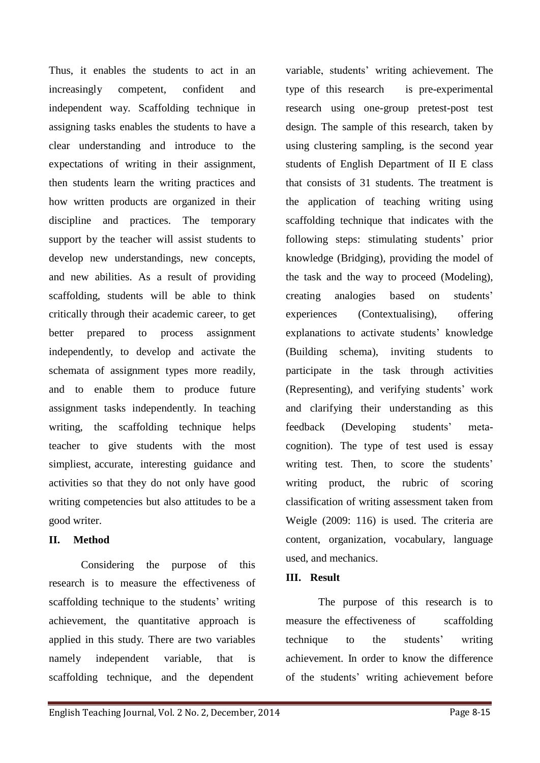Thus, it enables the students to act in an increasingly competent, confident and independent way. Scaffolding technique in assigning tasks enables the students to have a clear understanding and introduce to the expectations of writing in their assignment, then students learn the writing practices and how written products are organized in their discipline and practices. The temporary support by the teacher will assist students to develop new understandings, new concepts, and new abilities. As a result of providing scaffolding, students will be able to think critically through their academic career, to get better prepared to process assignment independently, to develop and activate the schemata of assignment types more readily, and to enable them to produce future assignment tasks independently. In teaching writing, the scaffolding technique helps teacher to give students with the most simpliest, accurate, interesting guidance and activities so that they do not only have good writing competencies but also attitudes to be a good writer.

# **II. Method**

Considering the purpose of this research is to measure the effectiveness of scaffolding technique to the students' writing achievement, the quantitative approach is applied in this study. There are two variables namely independent variable, that is scaffolding technique, and the dependent

variable, students' writing achievement. The type of this research is pre-experimental research using one-group pretest-post test design. The sample of this research, taken by using clustering sampling, is the second year students of English Department of II E class that consists of 31 students. The treatment is the application of teaching writing using scaffolding technique that indicates with the following steps: stimulating students' prior knowledge (Bridging), providing the model of the task and the way to proceed (Modeling), creating analogies based on students' experiences (Contextualising), offering explanations to activate students' knowledge (Building schema), inviting students to participate in the task through activities (Representing), and verifying students' work and clarifying their understanding as this feedback (Developing students' metacognition). The type of test used is essay writing test. Then, to score the students' writing product, the rubric of scoring classification of writing assessment taken from Weigle (2009: 116) is used. The criteria are content, organization, vocabulary, language used, and mechanics.

## **III. Result**

The purpose of this research is to measure the effectiveness of scaffolding technique to the students' writing achievement. In order to know the difference of the students' writing achievement before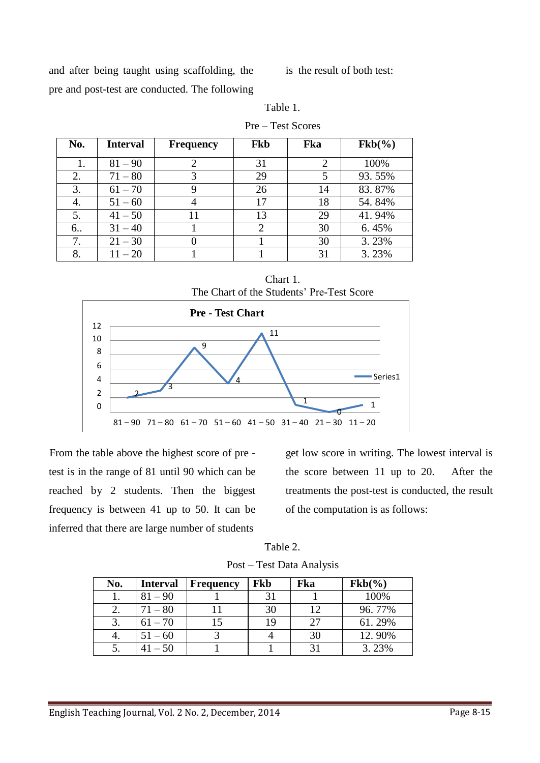and after being taught using scaffolding, the pre and post-test are conducted. The following

is the result of both test:

| Table 1. |                   |
|----------|-------------------|
|          | Pre – Test Scores |

| No. | <b>Interval</b> | <b>Frequency</b> | <b>Fkb</b> | Fka | $Fkb(\%)$ |
|-----|-----------------|------------------|------------|-----|-----------|
|     | $81 - 90$       |                  | 31         | 2   | 100%      |
| 2.  | $71 - 80$       | 3                | 29         | 5   | 93.55%    |
| 3.  | $61 - 70$       |                  | 26         | 14  | 83.87%    |
| 4.  | $51 - 60$       |                  | 17         | 18  | 54.84%    |
| 5.  | $41 - 50$       | 11               | 13         | 29  | 41.94%    |
| 6.  | $31 - 40$       |                  |            | 30  | 6.45%     |
| 7.  | $21 - 30$       |                  |            | 30  | 3.23%     |
| 8.  | $11 - 20$       |                  |            | 31  | 3.23%     |

Chart 1.





From the table above the highest score of pre test is in the range of 81 until 90 which can be reached by 2 students. Then the biggest frequency is between 41 up to 50. It can be inferred that there are large number of students

get low score in writing. The lowest interval is the score between 11 up to 20. After the treatments the post-test is conducted, the result of the computation is as follows:

Table 2.

| Post - Test Data Analysis |  |  |
|---------------------------|--|--|
|                           |  |  |

| No. | <b>Interval</b> | <b>Frequency</b> | Fkb | Fka | $Fkb(\%)$ |
|-----|-----------------|------------------|-----|-----|-----------|
|     | $81 - 90$       |                  |     |     | 100%      |
|     | $71 - 80$       |                  | 30  | 12  | 96.77%    |
|     | $61 - 70$       |                  |     | 27  | 61.29%    |
| 4.  | $51 - 60$       |                  |     | 30  | 12.90%    |
|     | $41 - 50$       |                  |     |     | 3.23%     |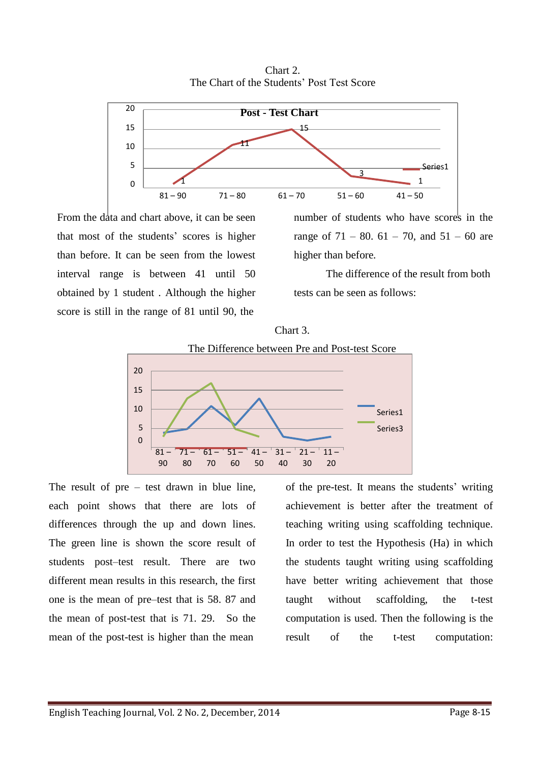

Chart 2. The Chart of the Students' Post Test Score

From the data and chart above, it can be seen that most of the students' scores is higher than before. It can be seen from the lowest interval range is between 41 until 50 obtained by 1 student . Although the higher score is still in the range of 81 until 90, the

number of students who have scores in the range of  $71 - 80$ .  $61 - 70$ , and  $51 - 60$  are higher than before.

The difference of the result from both tests can be seen as follows:





The result of pre – test drawn in blue line, each point shows that there are lots of differences through the up and down lines. The green line is shown the score result of students post–test result. There are two different mean results in this research, the first one is the mean of pre–test that is 58. 87 and the mean of post-test that is 71. 29. So the mean of the post-test is higher than the mean

of the pre-test. It means the students' writing achievement is better after the treatment of teaching writing using scaffolding technique. In order to test the Hypothesis (Ha) in which the students taught writing using scaffolding have better writing achievement that those taught without scaffolding, the t-test computation is used. Then the following is the result of the t-test computation: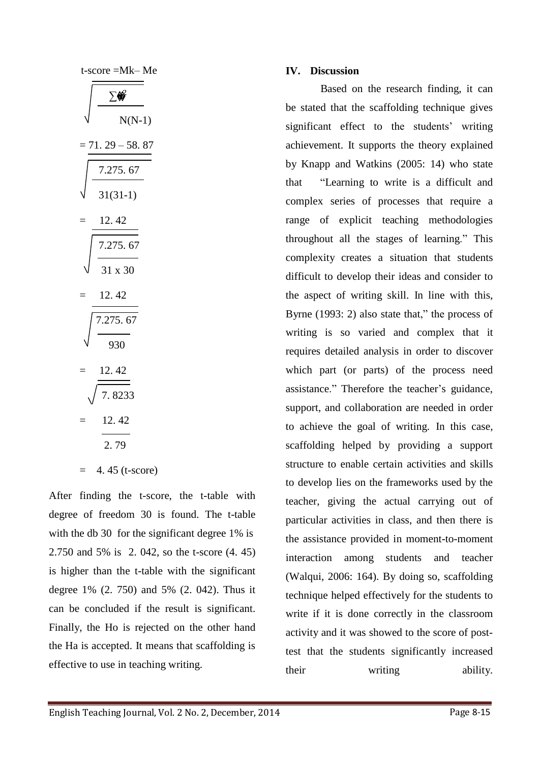| t-score =Mk– Me                 |
|---------------------------------|
|                                 |
| $N(N-1)$                        |
| $71.29 - 58.87$                 |
|                                 |
| $\frac{7.275.67}{31(31-1)}$     |
| 12.42                           |
| $\frac{1}{7.275.67}$<br>31 x 30 |
|                                 |
| 12.42                           |
| .275.67                         |
| 30 <sup>2</sup>                 |
|                                 |
| $\frac{12.42}{7.8233}$          |
| 12.42                           |
| 2.79                            |
| 4.45 (t-score)                  |

After finding the t-score, the t-table with degree of freedom 30 is found. The t-table with the db 30 for the significant degree 1% is 2.750 and 5% is 2. 042, so the t-score (4. 45) is higher than the t-table with the significant degree 1% (2. 750) and 5% (2. 042). Thus it can be concluded if the result is significant. Finally, the Ho is rejected on the other hand the Ha is accepted. It means that scaffolding is effective to use in teaching writing.

# **IV. Discussion**

Based on the research finding, it can be stated that the scaffolding technique gives significant effect to the students' writing achievement. It supports the theory explained by Knapp and Watkins (2005: 14) who state that "Learning to write is a difficult and complex series of processes that require a range of explicit teaching methodologies throughout all the stages of learning." This complexity creates a situation that students difficult to develop their ideas and consider to the aspect of writing skill. In line with this, Byrne (1993: 2) also state that," the process of writing is so varied and complex that it requires detailed analysis in order to discover which part (or parts) of the process need assistance." Therefore the teacher's guidance, support, and collaboration are needed in order to achieve the goal of writing. In this case, scaffolding helped by providing a support structure to enable certain activities and skills to develop lies on the frameworks used by the teacher, giving the actual carrying out of particular activities in class, and then there is the assistance provided in moment-to-moment interaction among students and teacher (Walqui, 2006: 164). By doing so, scaffolding technique helped effectively for the students to write if it is done correctly in the classroom activity and it was showed to the score of posttest that the students significantly increased their writing ability.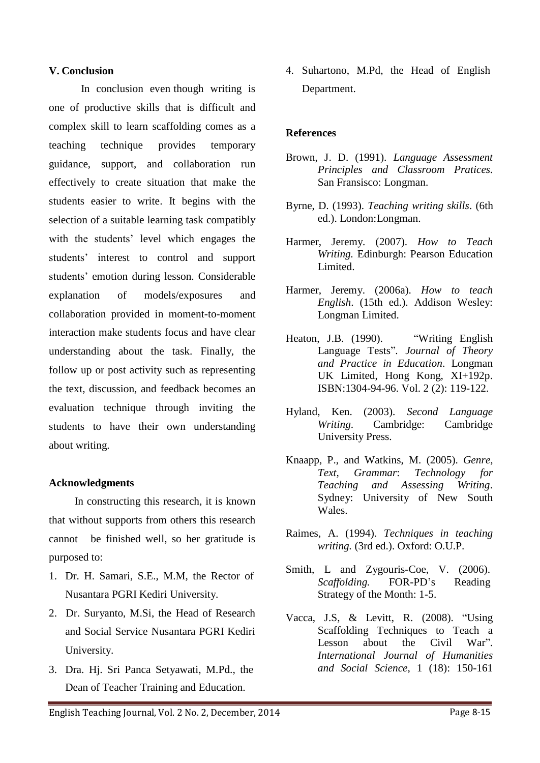#### **V. Conclusion**

In conclusion even though writing is one of productive skills that is difficult and complex skill to learn scaffolding comes as a teaching technique provides temporary guidance, support, and collaboration run effectively to create situation that make the students easier to write. It begins with the selection of a suitable learning task compatibly with the students' level which engages the students' interest to control and support students' emotion during lesson. Considerable explanation of models/exposures and collaboration provided in moment-to-moment interaction make students focus and have clear understanding about the task. Finally, the follow up or post activity such as representing the text, discussion, and feedback becomes an evaluation technique through inviting the students to have their own understanding about writing.

## **Acknowledgments**

In constructing this research, it is known that without supports from others this research cannot be finished well, so her gratitude is purposed to:

- 1. Dr. H. Samari, S.E., M.M, the Rector of Nusantara PGRI Kediri University.
- 2. Dr. Suryanto, M.Si, the Head of Research and Social Service Nusantara PGRI Kediri University.
- 3. Dra. Hj. Sri Panca Setyawati, M.Pd., the Dean of Teacher Training and Education.

4. Suhartono, M.Pd, the Head of English Department.

## **References**

- Brown, J. D. (1991). *Language Assessment Principles and Classroom Pratices.*  San Fransisco: Longman.
- Byrne, D. (1993). *Teaching writing skills*. (6th ed.). London:Longman.
- Harmer, Jeremy. (2007). *How to Teach Writing.* Edinburgh: Pearson Education Limited.
- Harmer, Jeremy. (2006a). *How to teach English*. (15th ed.). Addison Wesley: Longman Limited.
- Heaton, J.B. (1990). "Writing English" Language Tests"*. Journal of Theory and Practice in Education*. Longman UK Limited, Hong Kong, XI+192p. ISBN:1304-94-96. Vol. 2 (2): 119-122.
- Hyland, Ken. (2003). *Second Language Writing*. Cambridge: Cambridge University Press.
- Knaapp, P., and Watkins, M. (2005). *Genre, Text, Grammar*: *Technology for Teaching and Assessing Writing*. Sydney: University of New South Wales.
- Raimes, A. (1994). *Techniques in teaching writing.* (3rd ed.). Oxford: O.U.P.
- Smith, L and Zygouris-Coe, V. (2006). *Scaffolding.* FOR-PD's Reading Strategy of the Month: 1-5.
- Vacca, J.S, & Levitt, R. (2008). "Using Scaffolding Techniques to Teach a Lesson about the Civil War". *International Journal of Humanities and Social Science*, 1 (18): 150-161